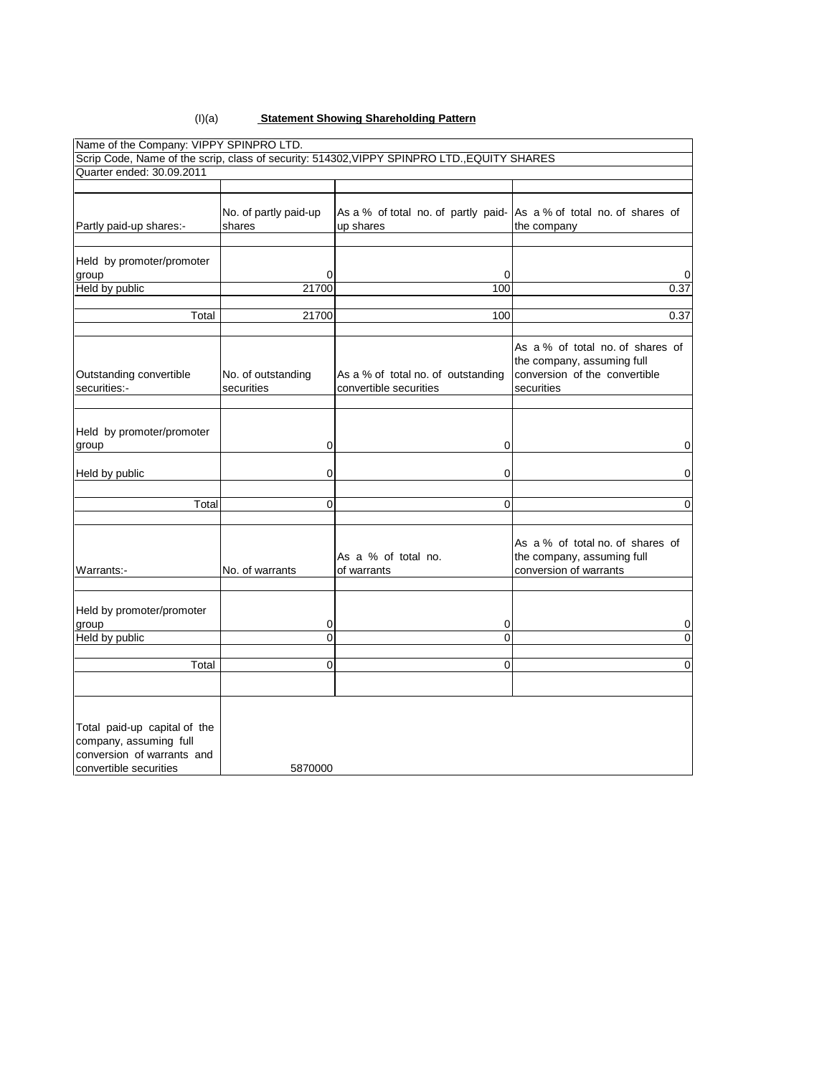#### (I)(a) **Statement Showing Shareholding Pattern**

| Name of the Company: VIPPY SPINPRO LTD.                                              |                                  |                                                                                             |                                                                                                               |
|--------------------------------------------------------------------------------------|----------------------------------|---------------------------------------------------------------------------------------------|---------------------------------------------------------------------------------------------------------------|
|                                                                                      |                                  | Scrip Code, Name of the scrip, class of security: 514302, VIPPY SPINPRO LTD., EQUITY SHARES |                                                                                                               |
| Quarter ended: 30.09.2011                                                            |                                  |                                                                                             |                                                                                                               |
|                                                                                      |                                  |                                                                                             |                                                                                                               |
| Partly paid-up shares:-                                                              | No. of partly paid-up<br>shares  | As a % of total no. of partly paid- As a % of total no. of shares of<br>up shares           | the company                                                                                                   |
| Held by promoter/promoter                                                            |                                  |                                                                                             |                                                                                                               |
| group                                                                                | 0                                | 0                                                                                           | 0                                                                                                             |
| Held by public                                                                       | 21700                            | 100                                                                                         | 0.37                                                                                                          |
| Total                                                                                | 21700                            | 100                                                                                         | 0.37                                                                                                          |
|                                                                                      |                                  |                                                                                             |                                                                                                               |
| Outstanding convertible<br>securities:-                                              | No. of outstanding<br>securities | As a % of total no. of outstanding<br>convertible securities                                | As a % of total no. of shares of<br>the company, assuming full<br>conversion of the convertible<br>securities |
|                                                                                      |                                  |                                                                                             |                                                                                                               |
| Held by promoter/promoter<br>group                                                   | 0                                | 0                                                                                           | 0                                                                                                             |
| Held by public                                                                       | 0                                | 0                                                                                           | 0                                                                                                             |
| Total                                                                                | $\mathbf{0}$                     | $\Omega$                                                                                    | $\Omega$                                                                                                      |
| Warrants:-                                                                           | No. of warrants                  | As a % of total no.<br>of warrants                                                          | As a % of total no. of shares of<br>the company, assuming full<br>conversion of warrants                      |
| Held by promoter/promoter<br>group                                                   | 0                                | 0                                                                                           | 0                                                                                                             |
| Held by public                                                                       | $\overline{0}$                   | $\overline{0}$                                                                              | 0                                                                                                             |
|                                                                                      |                                  |                                                                                             |                                                                                                               |
| Total                                                                                | 0                                | 0                                                                                           | 0                                                                                                             |
|                                                                                      |                                  |                                                                                             |                                                                                                               |
| Total paid-up capital of the<br>company, assuming full<br>conversion of warrants and |                                  |                                                                                             |                                                                                                               |
| convertible securities                                                               | 5870000                          |                                                                                             |                                                                                                               |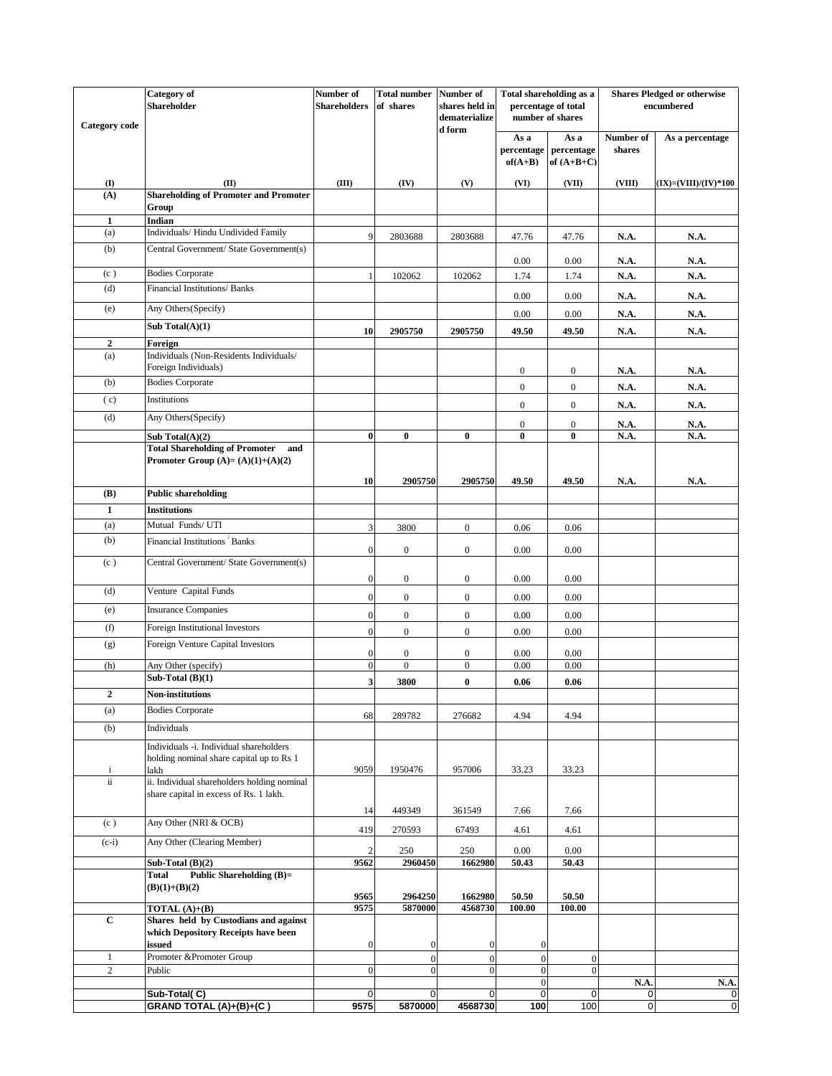| Category of         |                                                                                       | Number of                        | <b>Total number</b> Number of        |                                      | Total shareholding as a                 |                                    | <b>Shares Pledged or otherwise</b> |                      |
|---------------------|---------------------------------------------------------------------------------------|----------------------------------|--------------------------------------|--------------------------------------|-----------------------------------------|------------------------------------|------------------------------------|----------------------|
|                     | Shareholder                                                                           | <b>Shareholders</b>              | of shares                            | shares held in<br>dematerialize      | percentage of total<br>number of shares |                                    | encumbered                         |                      |
| Category code       |                                                                                       |                                  |                                      | d form                               | As a<br>percentage<br>$of(A+B)$         | As a<br>percentage<br>of $(A+B+C)$ | Number of<br>shares                | As a percentage      |
| $\mathbf{I}$        | (II)                                                                                  | (III)                            | (IV)                                 | (V)                                  | (VI)                                    | (VII)                              | (VIII)                             | (IX)=(VIII)/(IV)*100 |
| (A)                 | <b>Shareholding of Promoter and Promoter</b>                                          |                                  |                                      |                                      |                                         |                                    |                                    |                      |
|                     | Group                                                                                 |                                  |                                      |                                      |                                         |                                    |                                    |                      |
| $\mathbf{1}$<br>(a) | <b>Indian</b><br>Individuals/ Hindu Undivided Family                                  | 9                                |                                      |                                      |                                         |                                    |                                    |                      |
| (b)                 | Central Government/ State Government(s)                                               |                                  | 2803688                              | 2803688                              | 47.76                                   | 47.76                              | N.A.                               | <b>N.A.</b>          |
|                     |                                                                                       |                                  |                                      |                                      | 0.00                                    | 0.00                               | N.A.                               | <b>N.A.</b>          |
| (c)                 | <b>Bodies Corporate</b>                                                               |                                  | 102062                               | 102062                               | 1.74                                    | 1.74                               | N.A.                               | N.A.                 |
| (d)                 | Financial Institutions/ Banks                                                         |                                  |                                      |                                      | 0.00                                    | 0.00                               | <b>N.A.</b>                        | <b>N.A.</b>          |
| (e)                 | Any Others(Specify)                                                                   |                                  |                                      |                                      | 0.00                                    | $0.00\,$                           | N.A.                               | <b>N.A.</b>          |
|                     | Sub Total $(A)(1)$                                                                    | 10                               | 2905750                              | 2905750                              | 49.50                                   | 49.50                              | N.A.                               | N.A.                 |
| $\overline{2}$      | Foreign                                                                               |                                  |                                      |                                      |                                         |                                    |                                    |                      |
| (a)                 | Individuals (Non-Residents Individuals/                                               |                                  |                                      |                                      |                                         |                                    |                                    |                      |
| (b)                 | Foreign Individuals)<br><b>Bodies Corporate</b>                                       |                                  |                                      |                                      | $\boldsymbol{0}$                        | $\boldsymbol{0}$                   | N.A.                               | <b>N.A.</b>          |
| (c)                 | Institutions                                                                          |                                  |                                      |                                      | $\overline{0}$                          | $\overline{0}$                     | <b>N.A.</b>                        | N.A.                 |
|                     |                                                                                       |                                  |                                      |                                      | $\boldsymbol{0}$                        | $\overline{0}$                     | N.A.                               | N.A.                 |
| (d)                 | Any Others(Specify)                                                                   |                                  |                                      |                                      | $\boldsymbol{0}$                        | $\boldsymbol{0}$                   | N.A.                               | <b>N.A.</b>          |
|                     | Sub Total $(A)(2)$<br><b>Total Shareholding of Promoter</b><br>and                    | $\bf{0}$                         | $\bf{0}$                             | $\pmb{0}$                            | 0                                       | $\bf{0}$                           | N.A.                               | N.A.                 |
|                     | Promoter Group $(A)=(A)(1)+(A)(2)$                                                    |                                  |                                      |                                      |                                         |                                    |                                    |                      |
|                     |                                                                                       | 10                               | 2905750                              | 2905750                              | 49.50                                   | 49.50                              | N.A.                               | <b>N.A.</b>          |
| (B)                 | <b>Public shareholding</b>                                                            |                                  |                                      |                                      |                                         |                                    |                                    |                      |
| $\mathbf{1}$        | <b>Institutions</b>                                                                   |                                  |                                      |                                      |                                         |                                    |                                    |                      |
| (a)<br>(b)          | Mutual Funds/ UTI                                                                     | 3                                | 3800                                 | $\boldsymbol{0}$                     | 0.06                                    | 0.06                               |                                    |                      |
|                     | Financial Institutions Banks                                                          | $\boldsymbol{0}$                 | $\boldsymbol{0}$                     | $\boldsymbol{0}$                     | 0.00                                    | 0.00                               |                                    |                      |
| (c)                 | Central Government/ State Government(s)                                               | $\mathbf{0}$                     | $\boldsymbol{0}$                     | $\boldsymbol{0}$                     | 0.00                                    | $0.00\,$                           |                                    |                      |
| (d)                 | Venture Capital Funds                                                                 | $\boldsymbol{0}$                 | $\boldsymbol{0}$                     | $\boldsymbol{0}$                     | 0.00                                    | $0.00\,$                           |                                    |                      |
| (e)                 | <b>Insurance Companies</b>                                                            | $\boldsymbol{0}$                 | $\boldsymbol{0}$                     | $\boldsymbol{0}$                     | 0.00                                    | $0.00\,$                           |                                    |                      |
| (f)                 | Foreign Institutional Investors                                                       | $\mathbf{0}$                     | $\boldsymbol{0}$                     | $\boldsymbol{0}$                     | 0.00                                    | 0.00                               |                                    |                      |
| (g)                 | Foreign Venture Capital Investors                                                     |                                  |                                      |                                      |                                         |                                    |                                    |                      |
|                     |                                                                                       | $\boldsymbol{0}$<br>$\mathbf{0}$ | $\boldsymbol{0}$<br>$\boldsymbol{0}$ | $\boldsymbol{0}$<br>$\boldsymbol{0}$ | 0.00<br>0.00                            | 0.00<br>$0.00\,$                   |                                    |                      |
| (h)                 | Any Other (specify)<br>Sub-Total $(B)(1)$                                             |                                  |                                      |                                      |                                         | 0.06                               |                                    |                      |
| $\overline{2}$      | <b>Non-institutions</b>                                                               | 3                                | 3800                                 | $\bf{0}$                             | 0.06                                    |                                    |                                    |                      |
| (a)                 | <b>Bodies Corporate</b>                                                               |                                  |                                      |                                      |                                         |                                    |                                    |                      |
| (b)                 | Individuals                                                                           | 68                               | 289782                               | 276682                               | 4.94                                    | 4.94                               |                                    |                      |
|                     | Individuals -i. Individual shareholders                                               |                                  |                                      |                                      |                                         |                                    |                                    |                      |
|                     | holding nominal share capital up to Rs 1                                              |                                  |                                      |                                      |                                         |                                    |                                    |                      |
| $\mathbf{i}$        | lakh                                                                                  | 9059                             | 1950476                              | 957006                               | 33.23                                   | 33.23                              |                                    |                      |
| ii                  | ii. Individual shareholders holding nominal<br>share capital in excess of Rs. 1 lakh. |                                  |                                      |                                      |                                         |                                    |                                    |                      |
|                     |                                                                                       | 14                               | 449349                               | 361549                               | 7.66                                    | 7.66                               |                                    |                      |
| (c)                 | Any Other (NRI & OCB)                                                                 |                                  |                                      |                                      |                                         |                                    |                                    |                      |
| $(c-i)$             | Any Other (Clearing Member)                                                           | 419                              | 270593                               | 67493                                | 4.61                                    | 4.61                               |                                    |                      |
|                     |                                                                                       | $\overline{2}$                   | 250                                  | 250                                  | 0.00<br>50.43                           | $0.00\,$<br>50.43                  |                                    |                      |
|                     | Sub-Total $(B)(2)$<br><b>Public Shareholding (B)=</b><br>Total                        | 9562                             | 2960450                              | 1662980                              |                                         |                                    |                                    |                      |
|                     | $(B)(1)+(B)(2)$                                                                       |                                  |                                      |                                      |                                         |                                    |                                    |                      |
|                     | TOTAL (A)+(B)                                                                         | 9565<br>9575                     | 2964250<br>5870000                   | 1662980<br>4568730                   | 50.50<br>100.00                         | 50.50<br>100.00                    |                                    |                      |
| $\mathbf C$         | Shares held by Custodians and against                                                 |                                  |                                      |                                      |                                         |                                    |                                    |                      |
|                     | which Depository Receipts have been                                                   |                                  |                                      |                                      |                                         |                                    |                                    |                      |
| 1                   | issued<br>Promoter & Promoter Group                                                   | $\mathbf{0}$                     | $\boldsymbol{0}$<br>$\mathbf{0}$     | $\boldsymbol{0}$<br>$\mathbf{0}$     | $\boldsymbol{0}$<br>$\mathbf{0}$        | $\mathbf{0}$                       |                                    |                      |
| $\overline{c}$      | Public                                                                                | $\mathbf{0}$                     | $\overline{0}$                       | $\boldsymbol{0}$                     | $\mathbf{0}$                            | $\mathbf{0}$                       |                                    |                      |
|                     | Sub-Total(C)                                                                          | $\mathbf 0$                      | $\mathbf 0$                          |                                      | $\boldsymbol{0}$                        |                                    | N.A.                               | N.A.                 |
|                     | GRAND TOTAL (A)+(B)+(C)                                                               | 9575                             | 5870000                              | $\mathbf 0$<br>4568730               | $\mathbf 0$<br>100                      | $\pmb{0}$<br>100                   | 0<br>0                             | 0<br>0               |
|                     |                                                                                       |                                  |                                      |                                      |                                         |                                    |                                    |                      |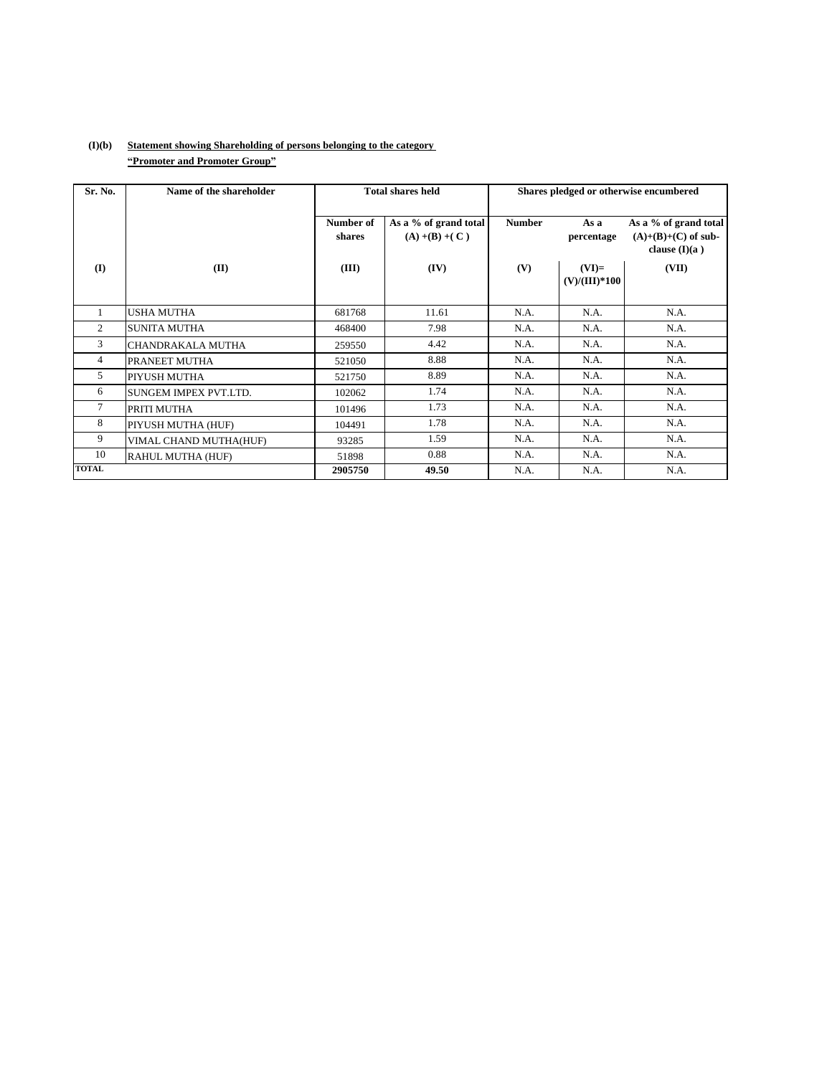## **(I)(b) Statement showing Shareholding of persons belonging to the category ìPromoter and Promoter Groupî**

| Sr. No.        | Name of the shareholder | <b>Total shares held</b> |                                            | Shares pledged or otherwise encumbered |                            |                                                                   |  |
|----------------|-------------------------|--------------------------|--------------------------------------------|----------------------------------------|----------------------------|-------------------------------------------------------------------|--|
|                |                         | Number of<br>shares      | As a % of grand total<br>$(A) + (B) + (C)$ | <b>Number</b>                          | As a<br>percentage         | As a % of grand total<br>$(A)+(B)+(C)$ of sub-<br>clause $(I)(a)$ |  |
| (I)            | (II)                    | (III)                    | (IV)                                       | (V)                                    | $(VI)=$<br>$(V)/(III)*100$ | (VII)                                                             |  |
|                | <b>USHA MUTHA</b>       | 681768                   | 11.61                                      | N.A.                                   | N.A.                       | N.A.                                                              |  |
| $\overline{2}$ | SUNITA MUTHA            | 468400                   | 7.98                                       | N.A.                                   | N.A.                       | N.A.                                                              |  |
| 3              | CHANDRAKALA MUTHA       | 259550                   | 4.42                                       | N.A.                                   | N.A.                       | N.A.                                                              |  |
| $\overline{4}$ | PRANEET MUTHA           | 521050                   | 8.88                                       | N.A.                                   | N.A.                       | N.A.                                                              |  |
| 5              | PIYUSH MUTHA            | 521750                   | 8.89                                       | N.A.                                   | N.A.                       | N.A.                                                              |  |
| 6              | SUNGEM IMPEX PVT.LTD.   | 102062                   | 1.74                                       | N.A.                                   | N.A.                       | N.A.                                                              |  |
| 7              | PRITI MUTHA             | 101496                   | 1.73                                       | N.A.                                   | N.A.                       | N.A.                                                              |  |
| 8              | PIYUSH MUTHA (HUF)      | 104491                   | 1.78                                       | N.A.                                   | N.A.                       | N.A.                                                              |  |
| 9              | VIMAL CHAND MUTHA(HUF)  | 93285                    | 1.59                                       | N.A.                                   | N.A.                       | N.A.                                                              |  |
| 10             | RAHUL MUTHA (HUF)       | 51898                    | 0.88                                       | N.A.                                   | N.A.                       | N.A.                                                              |  |
| <b>TOTAL</b>   |                         | 2905750                  | 49.50                                      | N.A.                                   | N.A.                       | N.A.                                                              |  |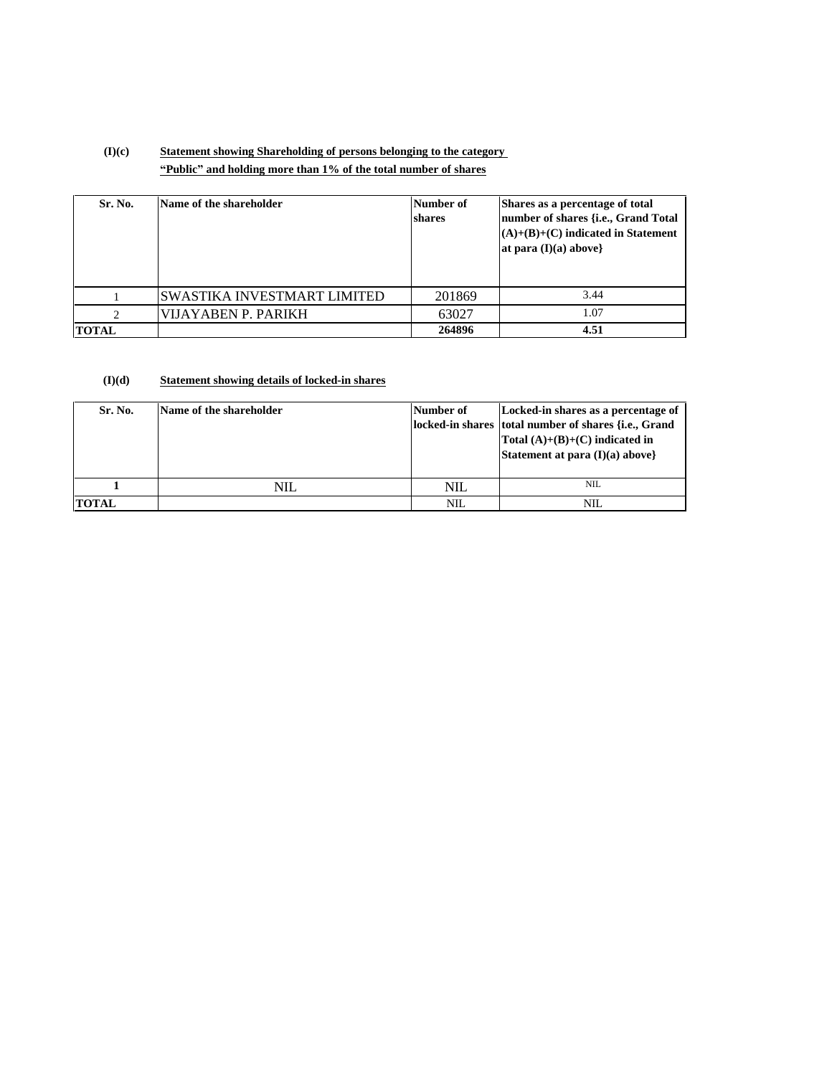# **(I)(c) Statement showing Shareholding of persons belonging to the category ìPublicî and holding more than 1% of the total number of shares**

| <b>Sr. No.</b> | Name of the shareholder     | Number of<br>shares | Shares as a percentage of total<br>number of shares {i.e., Grand Total<br>$(A)+(B)+(C)$ indicated in Statement<br>at para $(I)(a)$ above} |
|----------------|-----------------------------|---------------------|-------------------------------------------------------------------------------------------------------------------------------------------|
|                | SWASTIKA INVESTMART LIMITED | 201869              | 3.44                                                                                                                                      |
| $\gamma$       | VIJAYABEN P. PARIKH         | 63027               | 1.07                                                                                                                                      |
| <b>TOTAL</b>   |                             | 264896              | 4.51                                                                                                                                      |

#### **(I)(d) Statement showing details of locked-in shares**

| Sr. No.      | Name of the shareholder | Number of | Locked-in shares as a percentage of<br>locked-in shares total number of shares {i.e., Grand<br>Total $(A)+(B)+(C)$ indicated in<br>Statement at para (I)(a) above} |
|--------------|-------------------------|-----------|--------------------------------------------------------------------------------------------------------------------------------------------------------------------|
|              | $\rm NIL$               | NIL       | <b>NIL</b>                                                                                                                                                         |
| <b>TOTAL</b> |                         | NIL       | NIL                                                                                                                                                                |